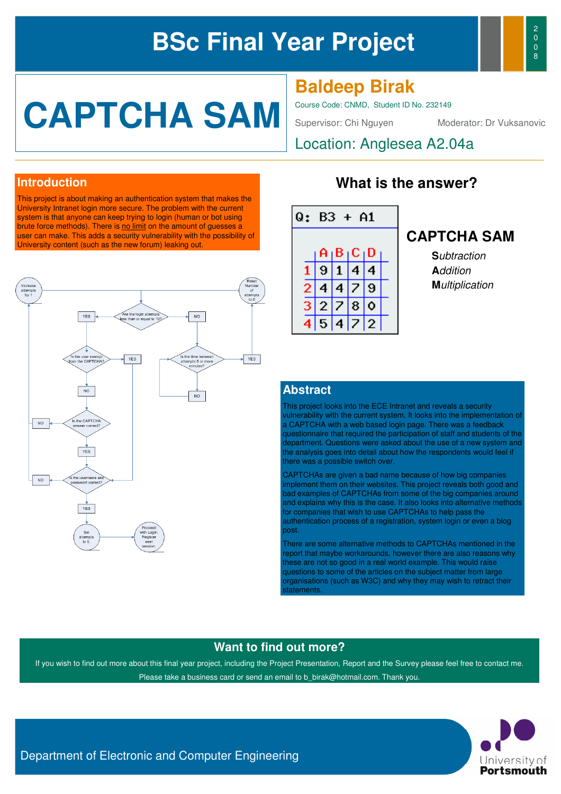# **BSc Final Year Project**



# **CAPTCHA SAM**

**Baldeep Birak**

Course Code: CNMD, Student ID No. 232149

Supervisor: Chi Nguyen Moderator: Dr Vuksanovic

Location: Anglesea A2.04a

#### **Introduction**

This project is about making an authentication system that makes the University Intranet login more secure. The problem with the current system is that anyone can keep trying to login (human or bot using brute force methods). There is no limit on the amount of guesses a user can make. This adds a security vulnerability with the possibility of University content (such as the new forum) leaking out.



### **What is the answer?**



#### **CAPTCHA SAM**

**S**ubtraction **A**ddition **M**ultiplication

#### **Abstract**

This project looks into the ECE Intranet and reveals a security vulnerability with the current system. It looks into the implementation of a CAPTCHA with a web based login page. There was a feedback questionnaire that required the participation of staff and students of the department. Questions were asked about the use of a new system and the analysis goes into detail about how the respondents would feel if there was a possible switch over.

CAPTCHAs are given a bad name because of how big companies implement them on their websites. This project reveals both good and bad examples of CAPTCHAs from some of the big companies around and explains why this is the case. It also looks into alternative methods for companies that wish to use CAPTCHAs to help pass the authentication process of a registration, system login or even a blog post.

There are some alternative methods to CAPTCHAs mentioned in the report that maybe workarounds, however there are also reasons why these are not so good in a real world example. This would raise questions to some of the articles on the subject matter from large organisations (such as W3C) and why they may wish to retract their statements.

#### **Want to find out more?**

If you wish to find out more about this final year project, including the Project Presentation, Report and the Survey please feel free to contact me. Please take a business card or send an email to b birak@hotmail.com. Thank you.



Department of Electronic and Computer Engineering